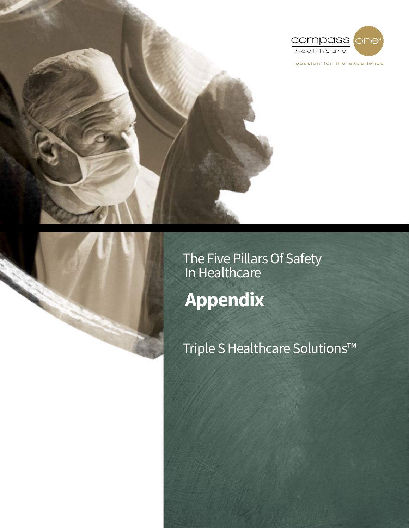

The Five Pillars Of Safety In Healthcare **Appendix**

Triple S Healthcare Solutions™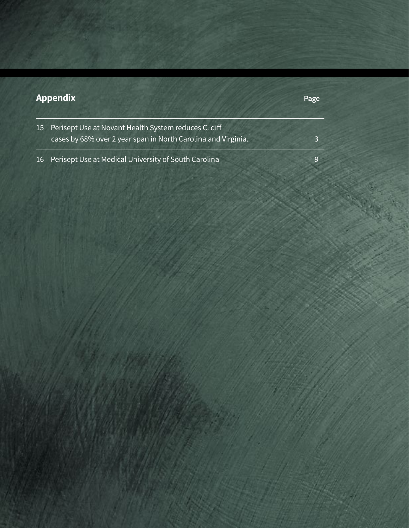| <b>Appendix</b> |                                                                                                                       | Page |
|-----------------|-----------------------------------------------------------------------------------------------------------------------|------|
| <b>15</b>       | Perisept Use at Novant Health System reduces C. diff<br>cases by 68% over 2 year span in North Carolina and Virginia. | 2    |
| 16              | Perisept Use at Medical University of South Carolina                                                                  | 9    |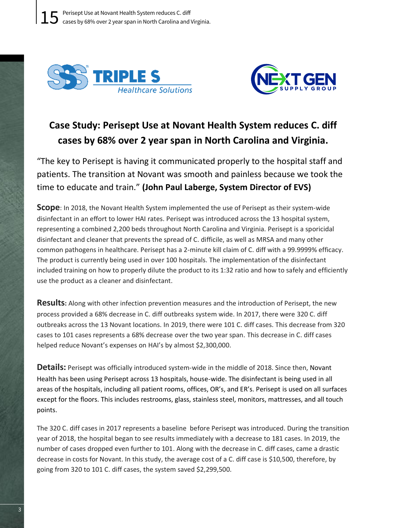



## Case Study: Perisept Use at Novant Health System reduces C. diff cases by 68% over 2 year span in North Carolina and Virginia.

"The key to Perisept is having it communicated properly to the hospital staff and patients. The transition at Novant was smooth and painless because we took the time to educate and train." (John Paul Laberge, System Director of EVS)

**Scope**: In 2018, the Novant Health System implemented the use of Perisept as their system-wide disinfectant in an effort to lower HAI rates. Perisept was introduced across the 13 hospital system, representing a combined 2,200 beds throughout North Carolina and Virginia. Perisept is a sporicidal disinfectant and cleaner that prevents the spread of C. difficile, as well as MRSA and many other common pathogens in healthcare. Perisept has a 2-minute kill claim of C. diff with a 99.9999% efficacy. The product is currently being used in over 100 hospitals. The implementation of the disinfectant included training on how to properly dilute the product to its 1:32 ratio and how to safely and efficiently use the product as a cleaner and disinfectant.

**Results:** Along with other infection prevention measures and the introduction of Perisept, the new process provided a 68% decrease in C. diff outbreaks system wide. In 2017, there were 320 C. diff outbreaks across the 13 Novant locations. In 2019, there were 101 C. diff cases. This decrease from 320 cases to 101 cases represents a 68% decrease over the two year span. This decrease in C. diff cases helped reduce Novant's expenses on HAI's by almost \$2,300,000.

**Details:** Perisept was officially introduced system-wide in the middle of 2018. Since then, Novant Health has been using Perisept across 13 hospitals, house-wide. The disinfectant is being used in all areas of the hospitals, including all patient rooms, offices, OR's, and ER's. Perisept is used on all surfaces except for the floors. This includes restrooms, glass, stainless steel, monitors, mattresses, and all touch points.

The 320 C. diff cases in 2017 represents a baseline before Perisept was introduced. During the transition year of 2018, the hospital began to see results immediately with a decrease to 181 cases. In 2019, the number of cases dropped even further to 101. Along with the decrease in C. diff cases, came a drastic decrease in costs for Novant. In this study, the average cost of a C. diff case is \$10,500, therefore, by going from 320 to 101 C. diff cases, the system saved \$2,299,500.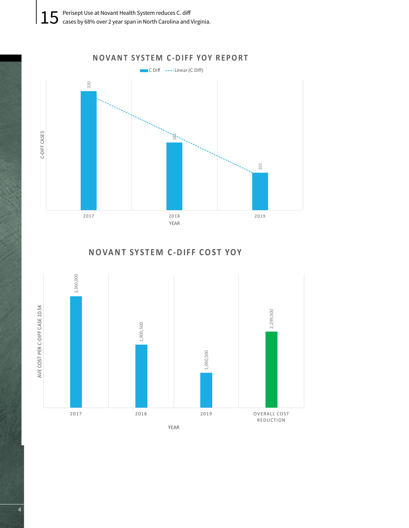

**NOVANT SYST EM C -DIF F COST YOY**

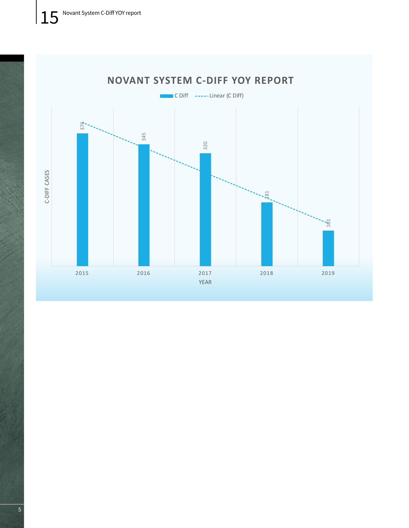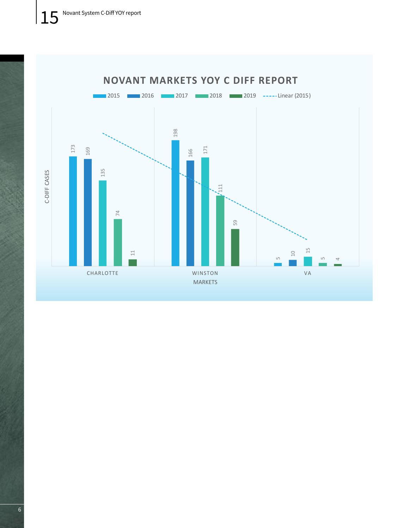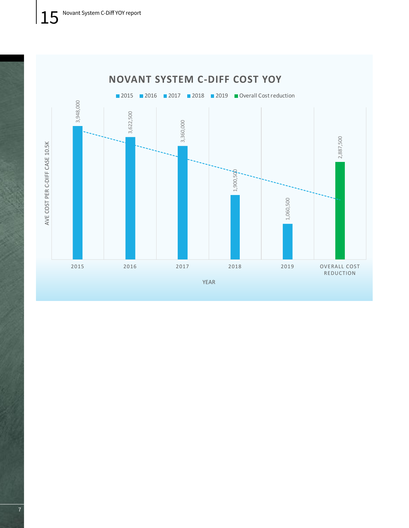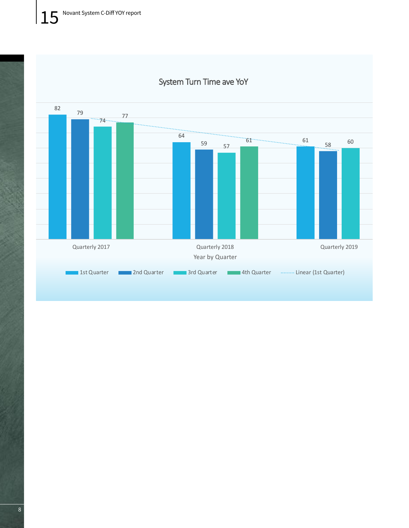

## System Turn Time ave YoY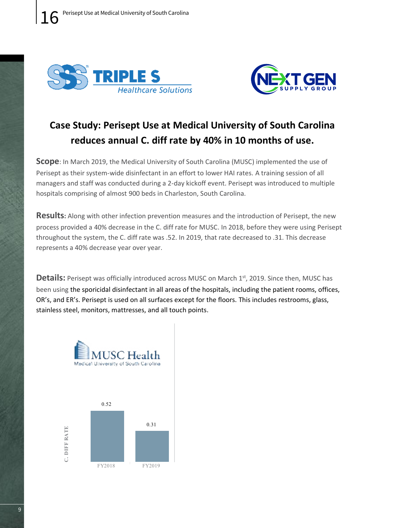



## Case Study: Perisept Use at Medical University of South Carolina reduces annual C. diff rate by 40% in 10 months of use.

**Scope**: In March 2019, the Medical University of South Carolina (MUSC) implemented the use of Perisept as their system-wide disinfectant in an effort to lower HAI rates. A training session of all managers and staff was conducted during a 2-day kickoff event. Perisept was introduced to multiple hospitals comprising of almost 900 beds in Charleston, South Carolina.

**Results:** Along with other infection prevention measures and the introduction of Perisept, the new process provided a 40% decrease in the C. diff rate for MUSC. In 2018, before they were using Perisept throughout the system, the C. diff rate was .52. In 2019, that rate decreased to .31. This decrease represents a 40% decrease year over year.

**Details:** Perisept was officially introduced across MUSC on March 1st, 2019. Since then, MUSC has been using the sporicidal disinfectant in all areas of the hospitals, including the patient rooms, offices, OR's, and ER's. Perisept is used on all surfaces except for the floors. This includes restrooms, glass, stainless steel, monitors, mattresses, and all touch points.